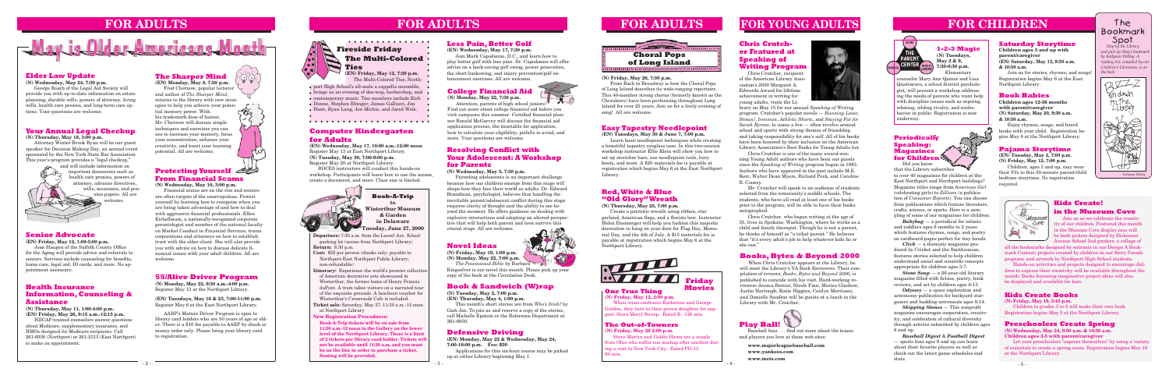**Departure:** 7:30 a.m. from the Laurel Ave. School parking lot (across from Northport Library) **Return:** 8:30 p.m.

- **Cost:** \$52 per person (checks only; payable to Northport-East Northport Public Library; non-refundable)
- **Itinerary:** Experience the world's premier collection of American decorative arts showcased in Winterthur, the former home of Henry Francis duPont. A tram takes visitors on a narrated tour of the exquisite grounds. A luncheon voucher for Winterthur's Crossroads Cafe is included.
- **Ticket sale:** Saturday, May 27, 11:30 a.m.-12 noon at Northport Library

## **FOR CHILDREN**



**Book-A-Trip to Winterthur Museum & Garden in Delaware Tuesday, June 27, 2000**

#### **Pajama Storytime**

**(EN) Tuesday, May 2, 7:00 p.m. (N) Friday, May 12, 7:00 p.m.**

Children, ages 3 and up, may wear their PJs to this 30-minute parent/child bedtime storytime. No registration required.

#### **Saturday Storytime**

**Children ages 3 and up with parent/caregiver (EN) Saturday, May 13, 9:30 a.m. & 10:30 a.m.**

Join us for stories, rhymes, and songs! Registration begins May 6 at the East Northport Library.

#### **55/Alive Driver Program**

**(N) Monday, May 22, 9:30 a.m.-4:00 p.m.** Register May 13 at the Northport Library.

#### **(EN) Tuesdays, May 16 & 23, 7:00-11:00 p.m.** Register May 6 at the East Northport Library.

AARP's Mature Driver Program is open to library card holders who are 50 years of age or older. There is a \$10 fee payable to AARP by check or money order only. Please bring your library card to registration.



#### **Health Insurance Information, Counseling & Assistance**

**(N) Thursday, May 11, 1:00-4:00 p.m. (EN) Friday, May 26, 9:15 a.m.-12:15 p.m.**

HIICAP-trained counselors answer questions about Medicare, supplementary insurance, and HMOs designed for Medicare recipients. Call 261-6930 (Northport) or 261-2313 (East Northport) to make an appointment.

#### **Senior Advocate**

#### **(EN) Friday, May 12, 1:00-3:00 p.m.**

 Joan Haugen of the Suffolk County Office for the Aging will provide advice and referrals to seniors. Services include counseling for benefits, home care, legal aid, ID cards, and more. No appointment necessary.

#### **Novel Ideas**

**(N) Friday, May 19, 1:00 p.m. (N) Monday, May 22, 7:00 p.m.**

 $-1.6$ Attention, parents of high school juniors! Find out more about college financial aid before you visit campuses this summer. Certified financial planner Ronald McGarvey will discuss the financial aid application process, the timetable for application, how to calculate your eligibility, pitfalls to avoid, and more. Your questions are welcome.

*The Poisonwood Bible* by Barbara Kingsolver is our novel this month. Please pick up your copy of the book at the Circulation Desk.

## **FOR ADULTS**

#### **Elder Law Update**

**(N) Wednesday, May 24, 7:30 p.m.**

George Roach of the Legal Aid Society will provide you with up-to-date information on estate planning, durable wills, powers of attorney, living wills, health care proxies, and long-term care options. Your questions are welcome.

## **FOR ADULTS**



#### **Defensive Driving**

**(EN) Monday, May 22 & Wednesday, May 24, 7:00-10:00 p.m. Fee: \$30** 

Applications for this six-hour course may be picked up at either Library beginning May 1.

#### **One True Thing**

**(N) Friday, May 12, 2:00 p.m.** When crisis confronts Katherine and George Gulden, they turn to their grown daughter for support. Stars Meryl Streep. Rated R. 128 min.



**Movies**

#### **The Out-of-Towners**

**(N) Friday, May 26 2:00 p.m.**

Steve Martin and Goldie Hawn are a couple from Ohio who suffer one mishap after another during a visit to New York City. Rated PG-13 90 min.

#### **Easy Tapestry Needlepoint**

**(EN) Tuesdays, May 30 & June 7, 7:00 p.m.**

Learn basic needlepoint techniques while creating a beautiful tapestry eyeglass case. In this two-session workshop instructor Ellie Klein will show you how to set up stretcher bars, use needlepoint tools, bury knots, and more. A \$20 materials fee is payable at registration which begins May 6 at the East Northport Library.

#### **Red, White & Blue "Old Glory" Wreath**

**(N) Thursday, May 25, 7:00 p.m.**

Create a patriotic wreath using ribbon, star garland, American flags, and a florists bow. Instructor Helen Ensmenger will help you fashion this majestic decoration to hang on your door for Flag Day, Memorial Day, and the 4th of July. A \$15 materials fee is payable at registration which begins May 6 at the Northport Library.

#### **College Financial Aid**

**(N) Monday, May 22, 7:30 p.m.**

#### **Less Pain, Better Golf**

#### **(EN) Wednesday, May 17, 7:30 p.m.**

Join Mark Capodanno, D.C., and learn how to play better golf with less pain. Dr. Capodanno will offer advice on a back-saving golf swing, power generation, the short backswing, and injury prevention/golf enhancement exercises. All are welcome.

#### . . . . . . . . . . . . . . . **Fireside Friday The Multi-Colored Ties**

#### **1-2-3 Magic (N) Tuesdays, May 2 & 9,**

**7:30-8:30 p.m.** Elementary

#### **Resolving Conflict with Your Adolescent: A Workshop for Parents**

**(N) Wednesday, May 3, 7:30 p.m.**

Parenting adolescents is an important challenge because how our children emerge from this stage will shape how they face their world as adults. Dr. Edward Brandman, psychologist, believes that handling the inevitable parent/adolescent conflict during this stage requires clarity of thought and the ability to see beyond the moment. He offers guidance on dealing with explosive interactions and adopting an altered perspective that will help both parent and teen survive this

crucial stage. All are welcome.

#### **Your Annual Legal Checkup**

**(N) Thursday, May 18, 3:00 p.m.**

Attorney Winter Brook Ryan will be our guest speaker for Decision Making Day, an annual event sponsored by the New York State Bar Association. This year's program provides a "legal checkup,"

and will include information on important documents such as health care proxies, powers of attorney, advance directives, wills, insurance, and pension papers. All are welcome.

> When Chris Crutcher appears at the Library, he will meet the Library's YA Book Reviewers. Their compilation of reviews, *Books, Bytes and Beyond 2000*, is published to coincide with his visit. Hard-working reviewers Jessica Bernat, Nicole Finn, Marisa Glashow, Justin Hartough, Katie Higgins, Caitlyn Morrissey, and Danielle Saudino will be guests at a lunch in the Library with Mr. Crutcher.

#### **Protecting Yourself From Financial Scams**

**(N) Wednesday, May 10, 3:00 p.m.**

Financial scams are on the rise and seniors are often targets of the unscrupulous. Protect yourself by learning how to recognize when you are being taken advantage of and how to deal with aggressive financial professionals. Ellen Eichelbaum, a nationally-recognized corporate gerontologist and member of the national faculty on Market Conduct in Financial Services, trains corporations and attorneys on how to establish trust with the older client. She will also provide you with advice on how to discuss delicate financial issues with your adult children. All are welcome.

#### **Book Babies**

**Children ages 12-36 months with parent/caregiver (N) Saturday, May 20, 9:30 a.m. & 10:30 a.m.**

Enjoy rhymes, songs, and board books with your child. Registration begins May 6 at the Northport Library.



*and pick up May's bookmark by Kellyann Walley. A*   $reading$  list, compiled by ou *Children's Librarians, is on the back.*





counselor Mary Ann Quince and Lisa Quartararo, a school district psychologist, will present a workshop addressing the needs of parents who want help with discipline issues such as arguing, whining, sibling rivalry, and misbehavior in public. Registration is now underway.



## **Kids Create!**

#### **in the Museum Cove**

Join us as we celebrate the creativity of our children. Featured this month in the Museum Cove display case will be book jackets designed by Dickinson Avenue School 2nd graders; a collage of

#### **Book & Sandwich (W)rap**

**(N) Tuesday, May 2, 7:00 p.m. (EN) Thursday, May 4, 1:00 p.m.**

This month's short stories are from *Who's Irish?* by Gish Jen. To join us and reserve a copy of the stories, call Michelle Epstein or the Reference Department at 261-6930.

all the bookmarks designed by entrants in our Design A Bookmark Contest; projects created by children in our Story Parade program; and artwork by Northport High School students.

Hands-on activities and projects designed to encourage children to express their creativity will be available throughout the month. Books featuring imaginative project ideas will also be displayed and available for loan.

#### **Kids Create Books**

**(N) Friday, May 19, 3:45 p.m.**

Children in grades 3 to 5 will make their own book. Registration begins May 5 at the Northport Library.

#### **Preschoolers Create Spring**

**(N) Wednesday, May 24, 9:30 a.m. & 10:30 a.m. Children ages 3-5 with parent/caregiver**

Let your preschoolers "express themselves" by using a variety of materials to create a spring scene. Registration begins May 10 at the Northport Library.

#### **(N) Friday, May 26, 7:30 p.m.**

From Bach to Broadway is how the Choral Pops of Long Island describes its wide-ranging repertoire. This 40-member strong chorus (formerly known as the Choraleers) have been performing throughout Long Island for over 25 years. Join us for a lively evening of song! All are welcome.

## **FOR ADULTS**

## **The Sharper Mind**

**(EN) Monday, May 8, 7:30 p.m.** Fred Chernow, popular lecturer and author of *The Sharper Mind,* returns to the library with new strategies to help you achieve your potential memory power. With his trademark dose of humor, Mr. Chernow will discuss simple techniques and exercises you can use to increase your memory, focus your concentration, enhance your creativity, and boost your learning potential. All are welcome.

 $\mathfrak{F}_\mathbf{k}$ 

**(EN) Friday, May 12, 7:30 p.m.** The Multi-Colored Ties, North-

- port High School's all-male a cappella ensemble,
- $\bullet$  brings us an evening of doo-wop, barbershop, and  $\bullet$
- contemporary music. Ties members include Rich •
- Dunne, Stephen Ebinger, James Gallucci, Jon

Hunt, Ryan Lang, Jon Michie, and Jared Wels.

#### **Chris Crutcher Featured at Speaking of Writing Program**

Chris Crutcher, recipient of the American Library Association's 2000 Margaret A. Edwards Award for lifetime achievement in writing for young adults, visits the Li-



brary on May 15 for our annual *Speaking of Writing* program. Crutcher's popular novels — *Running Loose, Stotan!*, *Ironman*, *Athletic Shorts*, and *Staying Fat for Sarah Byrnes*, to name a few — often revolve around school and sports with strong themes of friendship and taking responsibility for one's self. All of his books have been honored by their inclusion on the American Library Association's Best Books for Young Adults list.

Chris Crutcher is one of the many award-winning Young Adult authors who have been our guests since the *Speaking of Writing* program began in 1983. Authors who have appeared in the past include M.E. Kerr, Walter Dean Myers, Richard Peck, and Caroline B. Cooney.

Mr. Crutcher will speak to an audience of students selected from the community's middle schools. The students, who have all read at least one of his books prior to the program, will be able to have their books autographed.

Chris Crutcher, who began writing at the age of 35, lives in Spokane, Washington, where he works as a child and family therapist. Though he is not a parent, he thinks of himself as "a tribal parent." He believes that "it's every adult's job to help whatever kids he or she can."

# **FOR YOUNG ADULTS**

#### **Books, Bytes & Beyond 2000**

#### **Periodically Speaking: Magazines for Children**

Did you know that the Library subscribes to over 40 magazines for children at the East Northport and Northport buildings? Magazine titles range from *American Girl*  (celebrating girls) to *Zillions* (a publication of *Consumer Reports*). You can choose from publications which feature literature, crafts, science, or sports. Here is a sampling of some of our magazines for children:

*Babybug* — a periodical for infants and toddlers ages 6 months to 2 years which features rhymes, songs, and poetry on cardboard pages perfect for tiny hands.

*Click* — a thematic magazine produced by Cricket and the Smithsonian, features stories selected to help children understand social and scientific concepts appropriate for children ages 3-7.

*Stone Soup* — a 26-year-old literary magazine filled with fiction, poetry, book reviews, and art by children ages 6-13.

*Odyssey* — a space exploration and astronomy publication for backyard stargazers and budding astronauts ages 8-14.

*Skipping Stones* — This nonprofit magazine encourages cooperation, creativity, and celebration of cultural diversity through articles submitted by children ages 8 and up.

*Baseball Digest* & *Football Digest* — sports fans ages 9 and up can learn about their favorite players as well as check out the latest game schedules and stats.



 Baseball fans . . . find out more about the teams and players you love at these web sites:

**www.majorleaguebaseball.com www.yankees.com www.mets.com**



#### **New Registration Procedures:**

**Book-A-Trip tickets will be on sale from 11:30 a.m.-12 noon in the Gallery on the lower level of the Northport Library. There is a limit of 2 tickets per library card holder. Tickets will not be available until 11:30 a.m. and you must be on the line in order to purchase a ticket. Seating will be provided.** 

#### **Computer Kindergarten for Adults**

**(EN) Wednesday, May 17, 10:00 a.m.-12:00 noon** Register May 13 at East Northport Library. **(N) Tuesday, May 30, 7:00-9:00 p.m.** Register May 20 at Northport Library.

BOCES instructors will conduct this hands-on workshop. Participants will learn how to use the mouse, create a document, and more. Class size is limited.